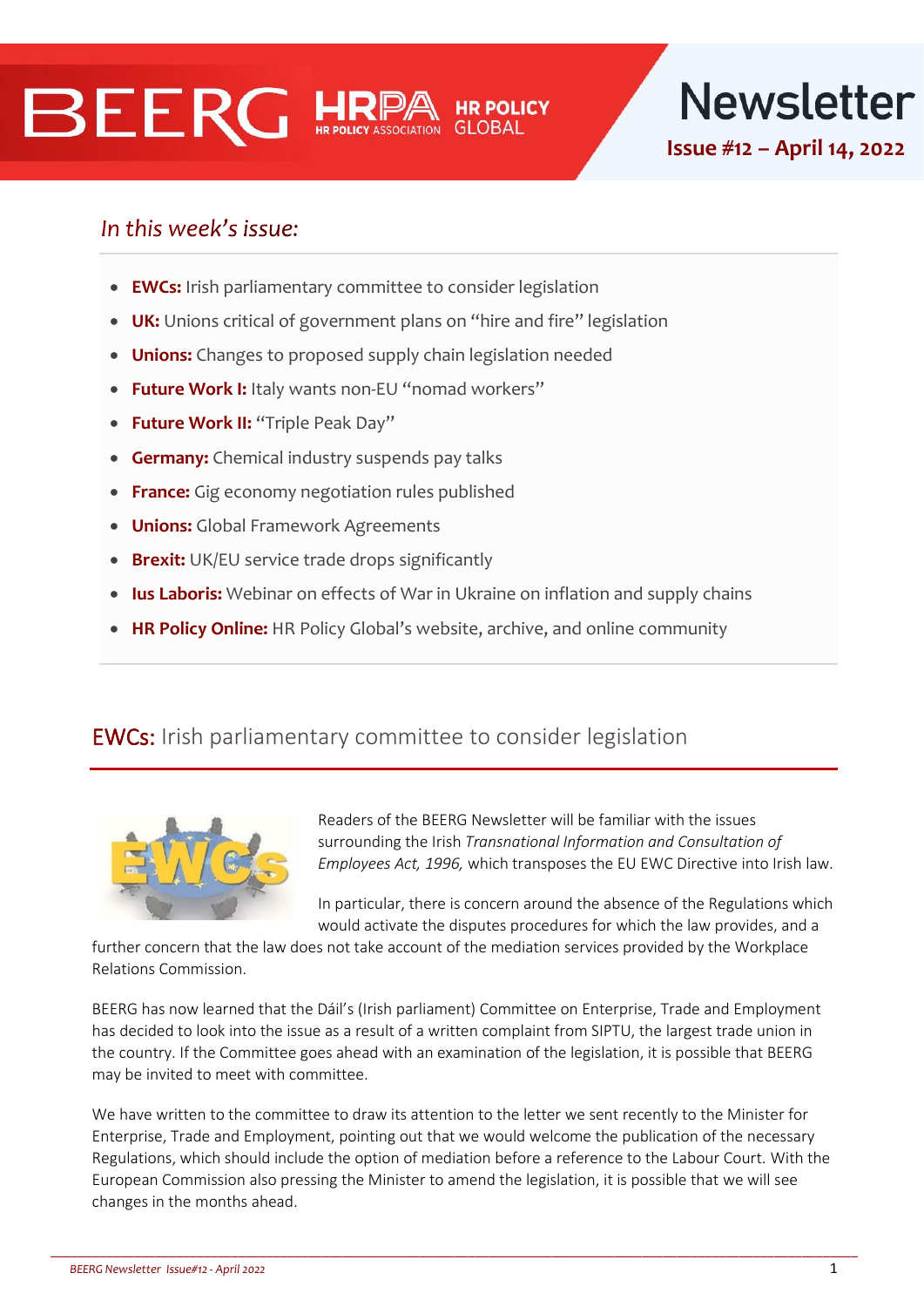# **BEERG HRI**



## In this week's issue:

- **EWCs:** Irish parliamentary committee to consider legislation
- **UK:** Unions critical of government plans on "hire and fire" legislation
- **Unions:** Changes to proposed supply chain legislation needed
- **Future Work I:** Italy wants non-EU "nomad workers"
- **Future Work II:** "Triple Peak Day"
- **Germany:** Chemical industry suspends pay talks
- **France:** Gig economy negotiation rules published
- **Unions:** Global Framework Agreements
- **Brexit:** UK/EU service trade drops significantly
- **Ius Laboris:** Webinar on effects of War in Ukraine on inflation and supply chains
- **HR Policy Online:** HR Policy Global's website, archive, and online community

#### EWCs: Irish parliamentary committee to consider legislation



Readers of the BEERG Newsletter will be familiar with the issues surrounding the Irish *Transnational Information and Consultation of Employees Act, 1996,* which transposes the EU EWC Directive into Irish law.

In particular, there is concern around the absence of the Regulations which would activate the disputes procedures for which the law provides, and a

further concern that the law does not take account of the mediation services provided by the Workplace Relations Commission.

BEERG has now learned that the Dáil's (Irish parliament) Committee on Enterprise, Trade and Employment has decided to look into the issue as a result of a written complaint from SIPTU, the largest trade union in the country. If the Committee goes ahead with an examination of the legislation, it is possible that BEERG may be invited to meet with committee.

We have written to the committee to draw its attention to the letter we sent recently to the Minister for Enterprise, Trade and Employment, pointing out that we would welcome the publication of the necessary Regulations, which should include the option of mediation before a reference to the Labour Court. With the European Commission also pressing the Minister to amend the legislation, it is possible that we will see changes in the months ahead.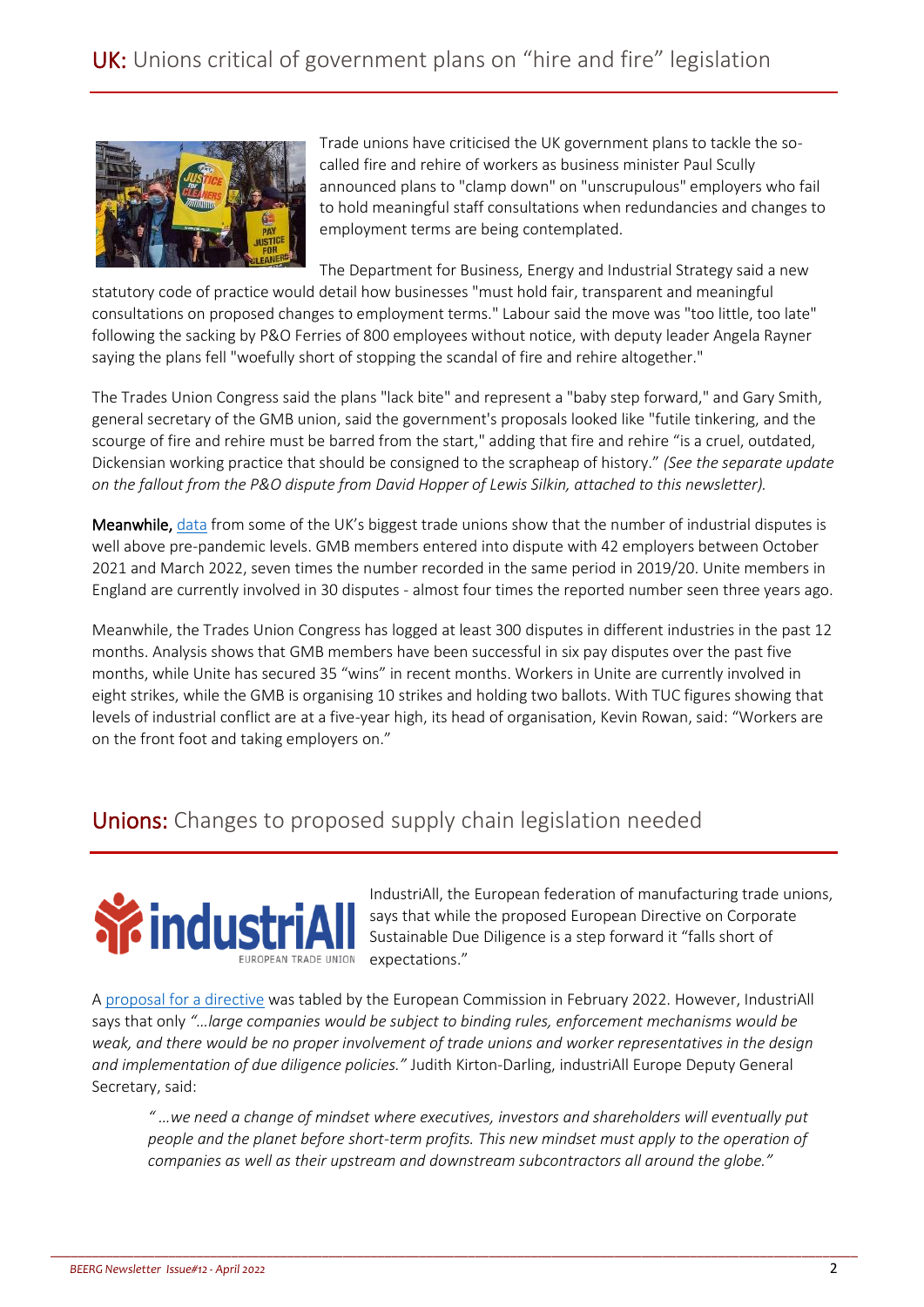

Trade unions have criticised the UK government plans to tackle the socalled fire and rehire of workers as business minister Paul Scully announced plans to "clamp down" on "unscrupulous" employers who fail to hold meaningful staff consultations when redundancies and changes to employment terms are being contemplated.

The Department for Business, Energy and Industrial Strategy said a new

statutory code of practice would detail how businesses "must hold fair, transparent and meaningful consultations on proposed changes to employment terms." Labour said the move was "too little, too late" following the sacking by P&O Ferries of 800 employees without notice, with deputy leader Angela Rayner saying the plans fell "woefully short of stopping the scandal of fire and rehire altogether."

The Trades Union Congress said the plans "lack bite" and represent a "baby step forward," and Gary Smith, general secretary of the GMB union, said the government's proposals looked like "futile tinkering, and the scourge of fire and rehire must be barred from the start," adding that fire and rehire "is a cruel, outdated, Dickensian working practice that should be consigned to the scrapheap of history." *(See the separate update on the fallout from the P&O dispute from David Hopper of Lewis Silkin, attached to this newsletter).*

Meanwhile, [data](https://www.theguardian.com/uk-news/2022/apr/02/strikes-in-uk-at-highest-in-five-years-as-pay-is-hit-by-inflation) from some of the UK's biggest trade unions show that the number of industrial disputes is well above pre-pandemic levels. GMB members entered into dispute with 42 employers between October 2021 and March 2022, seven times the number recorded in the same period in 2019/20. Unite members in England are currently involved in 30 disputes - almost four times the reported number seen three years ago.

Meanwhile, the Trades Union Congress has logged at least 300 disputes in different industries in the past 12 months. Analysis shows that GMB members have been successful in six pay disputes over the past five months, while Unite has secured 35 "wins" in recent months. Workers in Unite are currently involved in eight strikes, while the GMB is organising 10 strikes and holding two ballots. With TUC figures showing that levels of industrial conflict are at a five-year high, its head of organisation, Kevin Rowan, said: "Workers are on the front foot and taking employers on."

## **Unions:** Changes to proposed supply chain legislation needed



IndustriAll, the European federation of manufacturing trade unions, says that while the proposed European Directive on Corporate Sustainable Due Diligence is a step forward it "falls short of expectations."

A [proposal for a directive](https://ec.europa.eu/info/sites/default/files/1_1_183885_prop_dir_susta_en.pdf) was tabled by the European Commission in February 2022. However, IndustriAll says that only *"…large companies would be subject to binding rules, enforcement mechanisms would be weak, and there would be no proper involvement of trade unions and worker representatives in the design and implementation of due diligence policies."* Judith Kirton-Darling, industriAll Europe Deputy General Secretary, said:

\_\_\_\_\_\_\_\_\_\_\_\_\_\_\_\_\_\_\_\_\_\_\_\_\_\_\_\_\_\_\_\_\_\_\_\_\_\_\_\_\_\_\_\_\_\_\_\_\_\_\_\_\_\_\_\_\_\_\_\_\_\_\_\_\_\_\_\_\_\_\_\_\_\_\_\_\_\_\_\_\_\_\_\_\_\_\_\_\_\_\_\_\_\_\_\_\_\_\_\_\_\_\_\_\_\_\_\_\_\_\_\_\_\_\_\_

*" …we need a change of mindset where executives, investors and shareholders will eventually put people and the planet before short-term profits. This new mindset must apply to the operation of companies as well as their upstream and downstream subcontractors all around the globe."*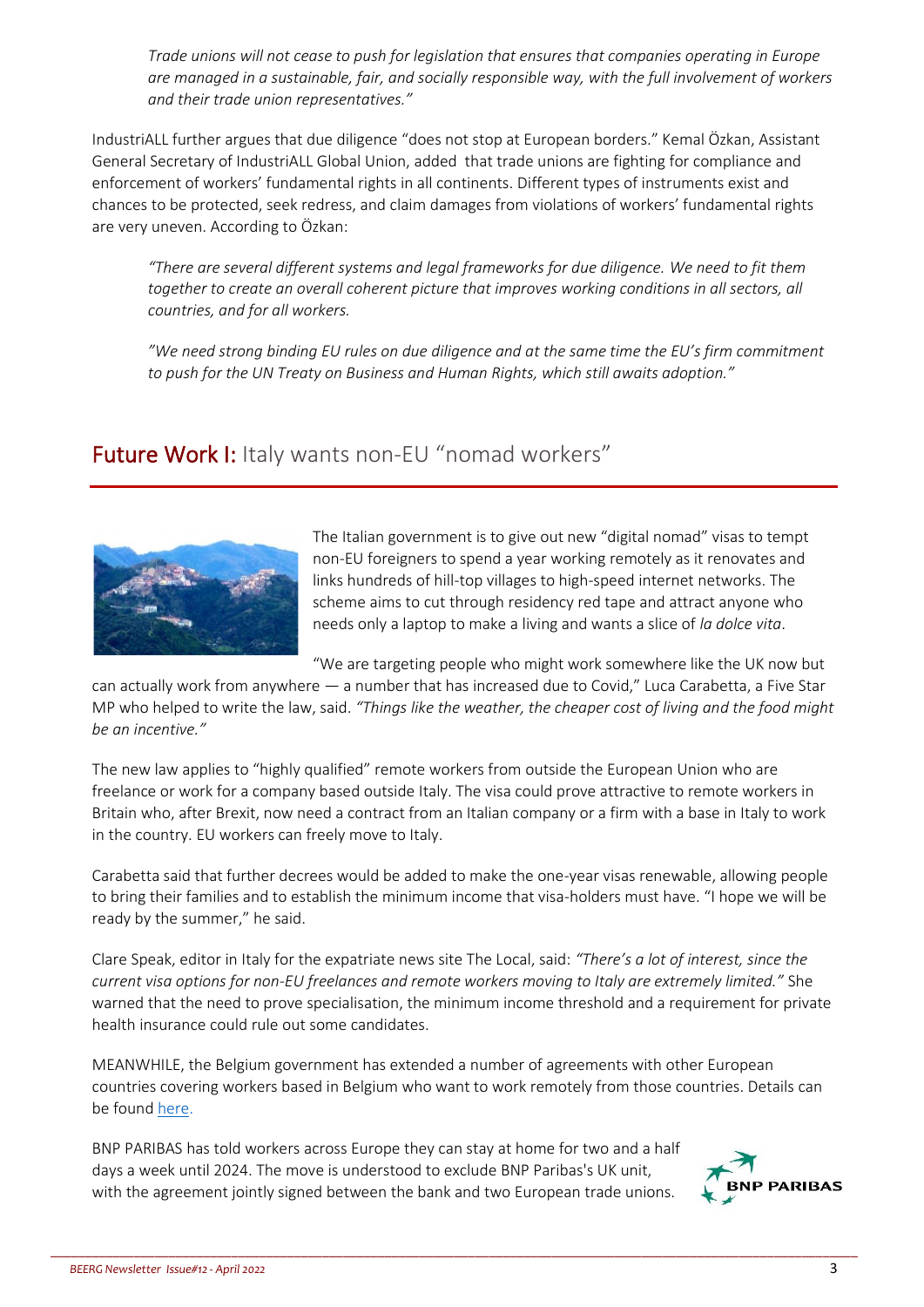*Trade unions will not cease to push for legislation that ensures that companies operating in Europe are managed in a sustainable, fair, and socially responsible way, with the full involvement of workers and their trade union representatives."*

IndustriALL further argues that due diligence "does not stop at European borders." Kemal Özkan, Assistant General Secretary of IndustriALL Global Union, added that trade unions are fighting for compliance and enforcement of workers' fundamental rights in all continents. Different types of instruments exist and chances to be protected, seek redress, and claim damages from violations of workers' fundamental rights are very uneven. According to Özkan:

*"There are several different systems and legal frameworks for due diligence. We need to fit them*  together to create an overall coherent picture that improves working conditions in all sectors, all *countries, and for all workers.*

*"We need strong binding EU rules on due diligence and at the same time the EU's firm commitment to push for the UN Treaty on Business and Human Rights, which still awaits adoption."*

#### Future Work I: Italy wants non-EU "nomad workers"



The Italian government is to give out new "digital nomad" visas to tempt non-EU foreigners to spend a year working remotely as it renovates and links hundreds of hill-top villages to high-speed internet networks. The scheme aims to cut through residency red tape and attract anyone who needs only a laptop to make a living and wants a slice of *la dolce vita*.

"We are targeting people who might work somewhere like the UK now but

can actually work from anywhere — a number that has increased due to Covid," Luca Carabetta, a Five Star MP who helped to write the law, said. *"Things like the weather, the cheaper cost of living and the food might be an incentive."*

The new law applies to "highly qualified" remote workers from outside the European Union who are freelance or work for a company based outside Italy. The visa could prove attractive to remote workers in Britain who, after Brexit, now need a contract from an Italian company or a firm with a base in Italy to work in the country. EU workers can freely move to Italy.

Carabetta said that further decrees would be added to make the one-year visas renewable, allowing people to bring their families and to establish the minimum income that visa-holders must have. "I hope we will be ready by the summer," he said.

Clare Speak, editor in Italy for the expatriate news site The Local, said: *"There's a lot of interest, since the current visa options for non-EU freelances and remote workers moving to Italy are extremely limited."* She warned that the need to prove specialisation, the minimum income threshold and a requirement for private health insurance could rule out some candidates.

MEANWHILE, the Belgium government has extended a number of agreements with other European countries covering workers based in Belgium who want to work remotely from those countries. Details can be foun[d here.](https://www.loyensloeff.com/be/en/news/articles-and-newsflashes/cross-border-workers-covid-19-agreements-extended-until-30-june-2022-n20159/)

\_\_\_\_\_\_\_\_\_\_\_\_\_\_\_\_\_\_\_\_\_\_\_\_\_\_\_\_\_\_\_\_\_\_\_\_\_\_\_\_\_\_\_\_\_\_\_\_\_\_\_\_\_\_\_\_\_\_\_\_\_\_\_\_\_\_\_\_\_\_\_\_\_\_\_\_\_\_\_\_\_\_\_\_\_\_\_\_\_\_\_\_\_\_\_\_\_\_\_\_\_\_\_\_\_\_\_\_\_\_\_\_\_\_\_\_

BNP PARIBAS has told workers across Europe they can stay at home for two and a half days a week until 2024. The move is understood to exclude BNP Paribas's UK unit, with the agreement jointly signed between the bank and two European trade unions.

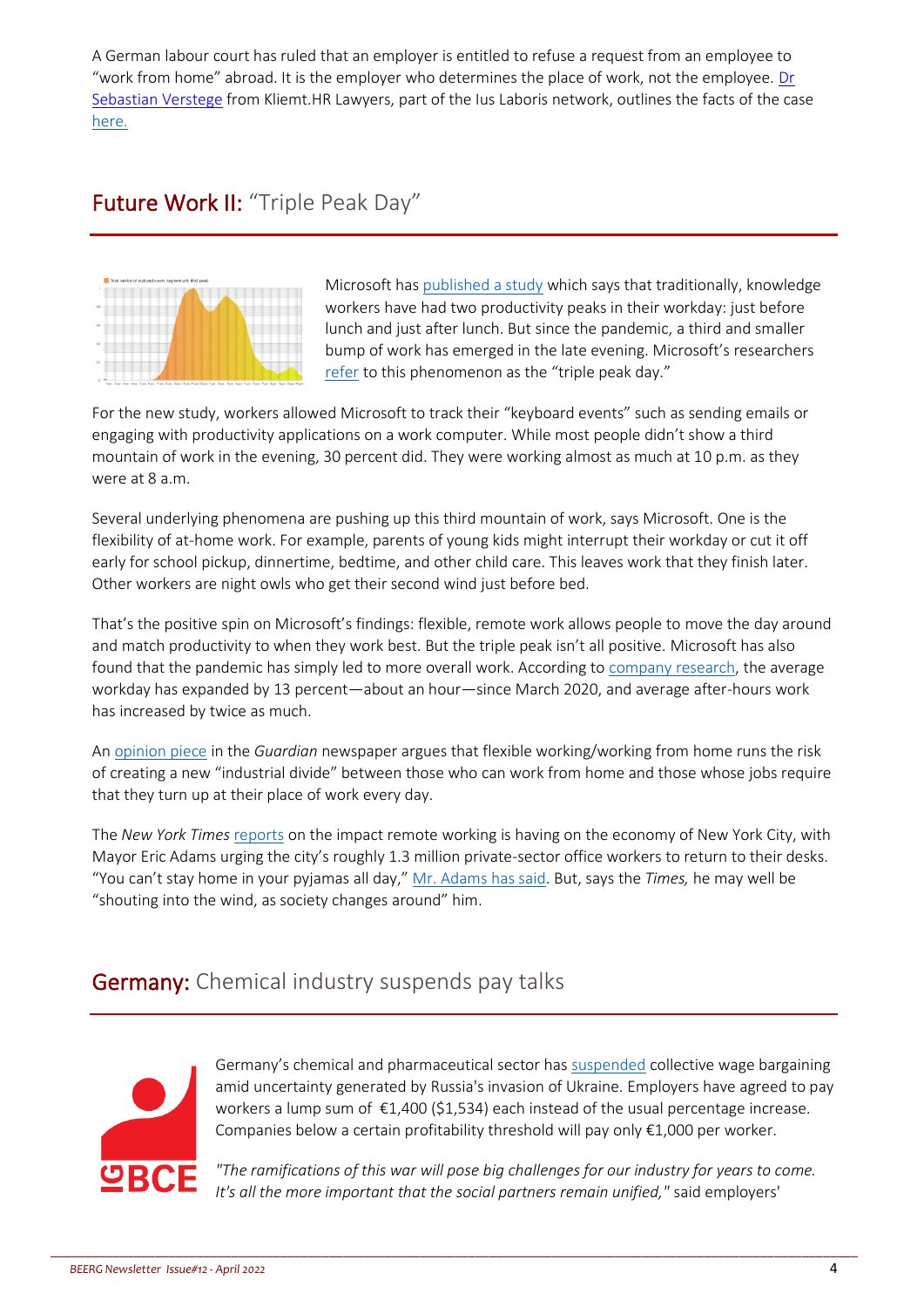A German labour court has ruled that an employer is entitled to refuse a request from an employee to "work from home" abroad. It is the employer who determines the place of work, not the employee. [Dr](https://kliemt.de/en/attorneys/dr-sebastian-verstege/)  [Sebastian Verstege](https://kliemt.de/en/attorneys/dr-sebastian-verstege/) from Kliemt.HR Lawyers, part of the Ius Laboris network, outlines the facts of the case [here.](https://iuslaboris.com/insights/no-right-to-remote-work-abroad-for-german-employees/)

## Future Work II: "Triple Peak Day"



Microsoft ha[s published a study](https://www.microsoft.com/en-us/worklab/triple-peak-day) which says that traditionally, knowledge workers have had two productivity peaks in their workday: just before lunch and just after lunch. But since the pandemic, a third and smaller bump of work has emerged in the late evening. Microsoft's researchers [refer](https://www.microsoft.com/en-us/worklab/triple-peak-day) to this phenomenon as the "triple peak day."

For the new study, workers allowed Microsoft to track their "keyboard events" such as sending emails or engaging with productivity applications on a work computer. While most people didn't show a third mountain of work in the evening, 30 percent did. They were working almost as much at 10 p.m. as they were at 8 a.m.

Several underlying phenomena are pushing up this third mountain of work, says Microsoft. One is the flexibility of at-home work. For example, parents of young kids might interrupt their workday or cut it off early for school pickup, dinnertime, bedtime, and other child care. This leaves work that they finish later. Other workers are night owls who get their second wind just before bed.

That's the positive spin on Microsoft's findings: flexible, remote work allows people to move the day around and match productivity to when they work best. But the triple peak isn't all positive. Microsoft has also found that the pandemic has simply led to more overall work. According to [company research,](https://www.microsoft.com/en-us/worklab/work-trend-index/great-expectations-making-hybrid-work-work) the average workday has expanded by 13 percent—about an hour—since March 2020, and average after-hours work has increased by twice as much.

A[n opinion piece](https://www.theguardian.com/commentisfree/2022/apr/10/covid-shown-flexible-working-a-benefit-only-for-privileged-few) in the *Guardian* newspaper argues that flexible working/working from home runs the risk of creating a new "industrial divide" between those who can work from home and those whose jobs require that they turn up at their place of work every day.

The *New York Times* [reports](https://www.nytimes.com/2022/04/11/nyregion/remote-work-hybrid-manhattan.html) on the impact remote working is having on the economy of New York City, with Mayor Eric Adams urging the city's roughly 1.3 million private-sector office workers to return to their desks. "You can't stay home in your pyjamas all day," [Mr. Adams has said.](https://www.nytimes.com/2022/03/20/nyregion/pandemic-recovery-masks-nyc.html) But, says the *Times,* he may well be "shouting into the wind, as society changes around" him.

## **Germany:** Chemical industry suspends pay talks



Germany's chemical and pharmaceutical sector has [suspended](https://www.reuters.com/world/europe/german-chemical-industry-suspends-pay-talks-due-war-ukraine-2022-04-05/) collective wage bargaining amid uncertainty generated by Russia's invasion of Ukraine. Employers have agreed to pay workers a lump sum of  $\epsilon$ 1,400 (\$1,534) each instead of the usual percentage increase. Companies below a certain profitability threshold will pay only €1,000 per worker.

*"The ramifications of this war will pose big challenges for our industry for years to come. It's all the more important that the social partners remain unified,"* said employers'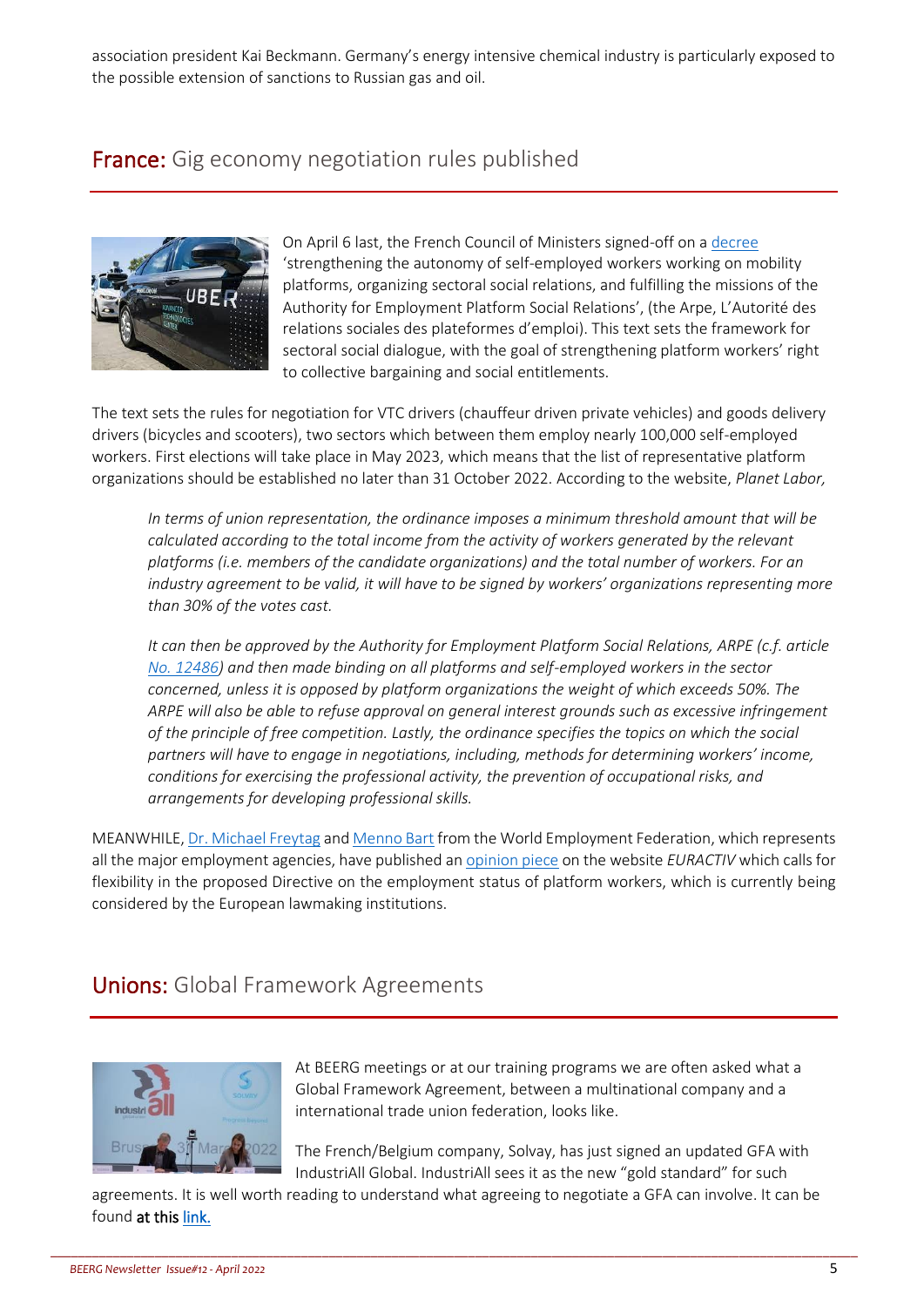association president Kai Beckmann. Germany's energy intensive chemical industry is particularly exposed to the possible extension of sanctions to Russian gas and oil.

#### France: Gig economy negotiation rules published



On April 6 last, the French Council of Ministers signed-off on a [decree](https://www.legifrance.gouv.fr/jorf/id/JORFTEXT000045522912) 'strengthening the autonomy of self-employed workers working on mobility platforms, organizing sectoral social relations, and fulfilling the missions of the Authority for Employment Platform Social Relations', (the Arpe, L'Autorité des relations sociales des plateformes d'emploi). This text sets the framework for sectoral social dialogue, with the goal of strengthening platform workers' right to collective bargaining and social entitlements.

The text sets the rules for negotiation for VTC drivers (chauffeur driven private vehicles) and goods delivery drivers (bicycles and scooters), two sectors which between them employ nearly 100,000 self-employed workers. First elections will take place in May 2023, which means that the list of representative platform organizations should be established no later than 31 October 2022. According to the website, *Planet Labor,* 

*In terms of union representation, the ordinance imposes a minimum threshold amount that will be*  calculated according to the total income from the activity of workers generated by the relevant *platforms (i.e. members of the candidate organizations) and the total number of workers. For an industry agreement to be valid, it will have to be signed by workers' organizations representing more than 30% of the votes cast.* 

*It can then be approved by the Authority for Employment Platform Social Relations, ARPE (c.f. article [No. 12486\)](https://www.planetlabor.com/evolutions-juridiques/legislations-nationales/france-presentation-en-conseil-des-ministres-de-lordonnance-organisant-la-representation-collective-des-travailleurs-des-plateformes/) and then made binding on all platforms and self-employed workers in the sector concerned, unless it is opposed by platform organizations the weight of which exceeds 50%. The ARPE will also be able to refuse approval on general interest grounds such as excessive infringement of the principle of free competition. Lastly, the ordinance specifies the topics on which the social partners will have to engage in negotiations, including, methods for determining workers' income, conditions for exercising the professional activity, the prevention of occupational risks, and arrangements for developing professional skills.*

MEANWHILE[, Dr. Michael Freytag](https://www.euractiv.com/authors/dr-michael-freytag/) an[d Menno Bart](https://www.euractiv.com/authors/menno-bart/) from the World Employment Federation, which represents all the major employment agencies, have published a[n opinion](https://www.euractiv.com/section/economy-jobs/opinion/platform-work-walking-the-line-between-technological-innovation-and-protecting-workersrights/?pnespid=tKJ9FnhYMP4K2.icq2WlE5Xctkm3VJosMrGtnfYx8h5mMetW1AGcDxFOUwl6SvY4Z6cnDyjQ) piece on the website *EURACTIV* which calls for flexibility in the proposed Directive on the employment status of platform workers, which is currently being considered by the European lawmaking institutions.

#### **Unions:** Global Framework Agreements



At BEERG meetings or at our training programs we are often asked what a Global Framework Agreement, between a multinational company and a international trade union federation, looks like.

The French/Belgium company, Solvay, has just signed an updated GFA with IndustriAll Global. IndustriAll sees it as the new "gold standard" for such

agreements. It is well worth reading to understand what agreeing to negotiate a GFA can involve. It can be found at this [link.](https://www.industriall-union.org/industriall-and-solvay-renew-and-improve-benchmark-gfa)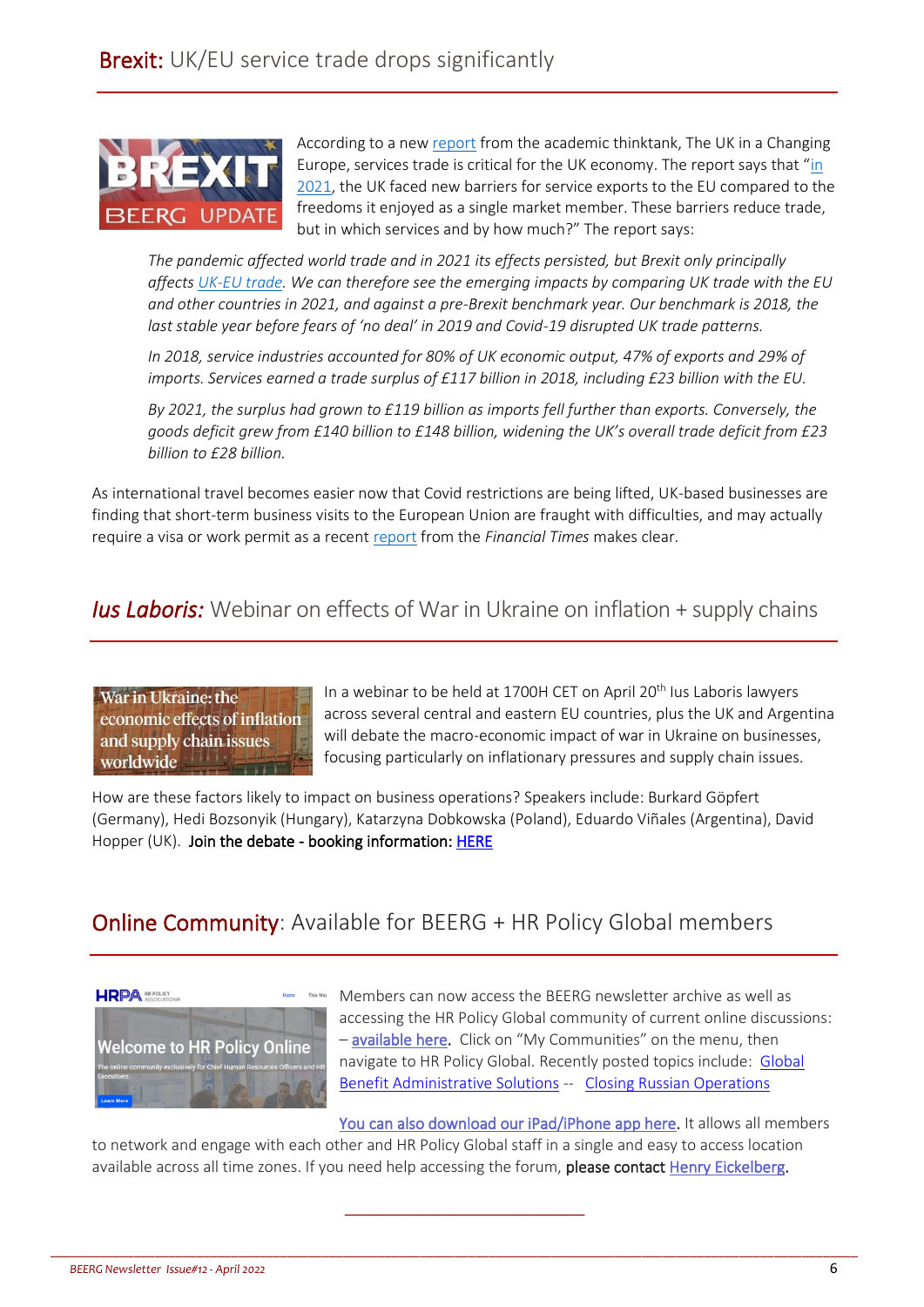

According to a ne[w report](https://ukandeu.ac.uk/services-trade-mind-the-gap/) from the academic thinktank, The UK in a Changing Europe, services trade is critical for the UK economy. The report says that "[in](https://ukandeu.ac.uk/research-papers/the-impact-of-brexit-on-uk-services/)  [2021,](https://ukandeu.ac.uk/research-papers/the-impact-of-brexit-on-uk-services/) the UK faced new barriers for service exports to the EU compared to the freedoms it enjoyed as a single market member. These barriers reduce trade, but in which services and by how much?" The report says:

*The pandemic affected world trade and in 2021 its effects persisted, but Brexit only principally affect[s UK-EU trade.](https://ukandeu.ac.uk/brexit-financial-services/) We can therefore see the emerging impacts by comparing UK trade with the EU and other countries in 2021, and against a pre-Brexit benchmark year. Our benchmark is 2018, the last stable year before fears of 'no deal' in 2019 and Covid-19 disrupted UK trade patterns.*

*In 2018, service industries accounted for 80% of UK economic output, 47% of exports and 29% of imports. Services earned a trade surplus of £117 billion in 2018, including £23 billion with the EU.*

*By 2021, the surplus had grown to £119 billion as imports fell further than exports. Conversely, the goods deficit grew from £140 billion to £148 billion, widening the UK's overall trade deficit from £23 billion to £28 billion.*

As international travel becomes easier now that Covid restrictions are being lifted, UK-based businesses are finding that short-term business visits to the European Union are fraught with difficulties, and may actually require a visa or work permit as a recent [report](https://www.ft.com/content/ef77abc4-5d30-4c4b-93f3-62b0164bec8f) from the *Financial Times* makes clear.

#### *Ius Laboris:* Webinar on effects of War in Ukraine on inflation + supply chains

War in Ukraine: the economic effects of inflation and supply chain issues worldwide

In a webinar to be held at 1700H CET on April 20<sup>th</sup> Ius Laboris lawyers across several central and eastern EU countries, plus the UK and Argentina will debate the macro-economic impact of war in Ukraine on businesses, focusing particularly on inflationary pressures and supply chain issues.

How are these factors likely to impact on business operations? Speakers include: Burkard Göpfert (Germany), Hedi Bozsonyik (Hungary), Katarzyna Dobkowska (Poland), Eduardo Viñales (Argentina), David Hopper (UK). Join the debate - booking information: [HERE](https://iuslaboris.us3.list-manage.com/track/click?u=ee5656464181122330d68b7b9&id=fe0f18424b&e=d853af53f5)

## Online Community: Available for BEERG + HR Policy Global members



Members can now access the BEERG newsletter archive as well as accessing the HR Policy Global community of current online discussions: – [available here.](https://community.hrpolicy.org/home) Click on "My Communities" on the menu, then navigate to HR Policy Global. Recently posted topics include: [Global](https://community.hrpolicy.org/communities/community-home/digestviewer/viewthread?GroupId=85&MessageKey=e683fe70-bc18-4f6f-98ac-63f27a51bc4e&CommunityKey=105b1522-5ba6-4724-a924-0b98eec03bc6&ReturnUrl=%2fcommunities%2fcommunity-home%2fdigestviewer%3fCommunityKey%3d105b1522-5ba6-4724-a924-0b98eec03bc6)  [Benefit Administrative](https://community.hrpolicy.org/communities/community-home/digestviewer/viewthread?GroupId=85&MessageKey=e683fe70-bc18-4f6f-98ac-63f27a51bc4e&CommunityKey=105b1522-5ba6-4724-a924-0b98eec03bc6&ReturnUrl=%2fcommunities%2fcommunity-home%2fdigestviewer%3fCommunityKey%3d105b1522-5ba6-4724-a924-0b98eec03bc6) Solutions -- Closing [Russian Operations](https://community.hrpolicy.org/communities/community-home/digestviewer/viewthread?MessageKey=1a76544e-6144-487d-af53-e0cf6958c9c7&CommunityKey=105b1522-5ba6-4724-a924-0b98eec03bc6&bm=1a76544e-6144-487d-af53-e0cf6958c9c7)

[You can also download our iPad/iPhone app here.](https://apps.apple.com/app/hr-policy-online/id1609964721) It allows all members to network and engage with each other and HR Policy Global staff in a single and easy to access location available across all time zones. If you need help accessing the forum, please contact [Henry Eickelberg.](mailto:Heickelberg@hrpolicy.org?subject=HR%20Policy%20Global%20Community%20Access)

\_\_\_\_\_\_\_\_\_\_\_\_\_\_\_\_\_\_\_\_\_\_\_\_\_\_\_\_\_\_\_